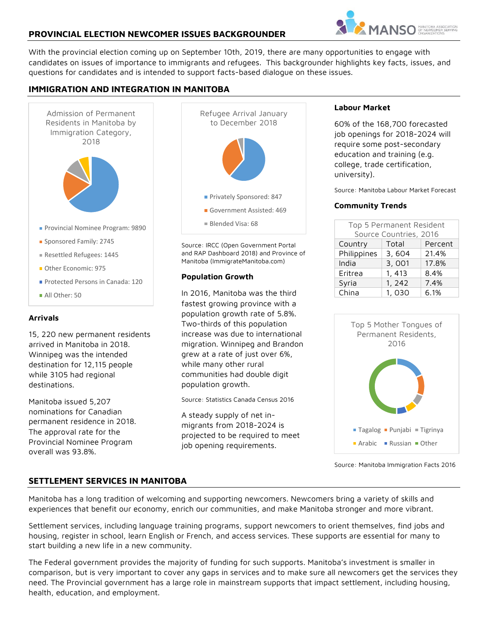## **PROVINCIAL ELECTION NEWCOMER ISSUES BACKGROUNDER**



With the provincial election coming up on September 10th, 2019, there are many opportunities to engage with candidates on issues of importance to immigrants and refugees. This backgrounder highlights key facts, issues, and questions for candidates and is intended to support facts-based dialogue on these issues.

# **IMMIGRATION AND INTEGRATION IN MANITOBA**



### **Arrivals**

15, 220 new permanent residents arrived in Manitoba in 2018. Winnipeg was the intended destination for 12,115 people while 3105 had regional destinations.

Manitoba issued 5,207 nominations for Canadian permanent residence in 2018. The approval rate for the Provincial Nominee Program overall was 93.8%.



Source: IRCC (Open Government Portal and RAP Dashboard 2018) and Province of Manitoba (ImmigrateManitoba.com)

#### **Population Growth**

In 2016, Manitoba was the third fastest growing province with a population growth rate of 5.8%. Two-thirds of this population increase was due to international migration. Winnipeg and Brandon grew at a rate of just over 6%, while many other rural communities had double digit population growth.

Source: Statistics Canada Census 2016

A steady supply of net inmigrants from 2018-2024 is projected to be required to meet job opening requirements.

#### **Labour Market**

60% of the 168,700 forecasted job openings for 2018-2024 will require some post-secondary education and training (e.g. college, trade certification, university).

Source: Manitoba Labour Market Forecast

#### **Community Trends**

| Top 5 Permanent Resident |        |         |  |
|--------------------------|--------|---------|--|
| Source Countries, 2016   |        |         |  |
| Country                  | Total  | Percent |  |
| Philippines              | 3,604  | 21.4%   |  |
| India                    | 3,001  | 17.8%   |  |
| Eritrea                  | 1, 413 | 8.4%    |  |
| Syria                    | 1, 242 | 7.4%    |  |
| China                    | 1,030  | 6.1%    |  |



Source: Manitoba Immigration Facts 2016

### **SETTLEMENT SERVICES IN MANITOBA**

Manitoba has a long tradition of welcoming and supporting newcomers. Newcomers bring a variety of skills and experiences that benefit our economy, enrich our communities, and make Manitoba stronger and more vibrant.

Settlement services, including language training programs, support newcomers to orient themselves, find jobs and housing, register in school, learn English or French, and access services. These supports are essential for many to start building a new life in a new community.

The Federal government provides the majority of funding for such supports. Manitoba's investment is smaller in comparison, but is very important to cover any gaps in services and to make sure all newcomers get the services they need. The Provincial government has a large role in mainstream supports that impact settlement, including housing, health, education, and employment.